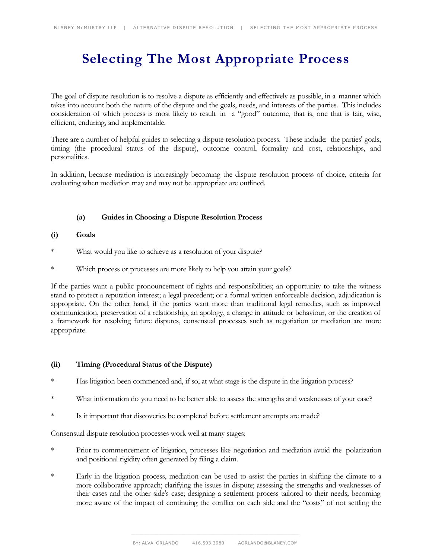# **Selecting The Most Appropriate Process**

The goal of dispute resolution is to resolve a dispute as efficiently and effectively as possible, in a manner which takes into account both the nature of the dispute and the goals, needs, and interests of the parties. This includes consideration of which process is most likely to result in a "good" outcome, that is, one that is fair, wise, efficient, enduring, and implementable.

There are a number of helpful guides to selecting a dispute resolution process. These include: the parties' goals, timing (the procedural status of the dispute), outcome control, formality and cost, relationships, and personalities.

In addition, because mediation is increasingly becoming the dispute resolution process of choice, criteria for evaluating when mediation may and may not be appropriate are outlined.

# **(a) Guides in Choosing a Dispute Resolution Process**

# **(i) Goals**

- \* What would you like to achieve as a resolution of your dispute?
- Which process or processes are more likely to help you attain your goals?

If the parties want a public pronouncement of rights and responsibilities; an opportunity to take the witness stand to protect a reputation interest; a legal precedent; or a formal written enforceable decision, adjudication is appropriate. On the other hand, if the parties want more than traditional legal remedies, such as improved communication, preservation of a relationship, an apology, a change in attitude or behaviour, or the creation of a framework for resolving future disputes, consensual processes such as negotiation or mediation are more appropriate.

# **(ii) Timing (Procedural Status of the Dispute)**

- Has litigation been commenced and, if so, at what stage is the dispute in the litigation process?
- \* What information do you need to be better able to assess the strengths and weaknesses of your case?
- \* Is it important that discoveries be completed before settlement attempts are made?

Consensual dispute resolution processes work well at many stages:

- \* Prior to commencement of litigation, processes like negotiation and mediation avoid the polarization and positional rigidity often generated by filing a claim.
- \* Early in the litigation process, mediation can be used to assist the parties in shifting the climate to a more collaborative approach; clarifying the issues in dispute; assessing the strengths and weaknesses of their cases and the other side's case; designing a settlement process tailored to their needs; becoming more aware of the impact of continuing the conflict on each side and the "costs" of not settling the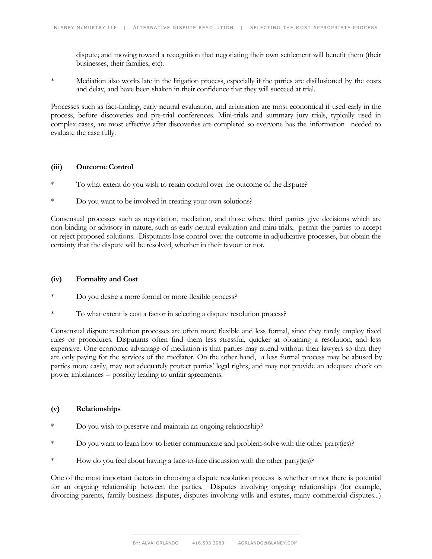dispute; and moving toward a recognition that negotiating their own settlement will benefit them (their businesses, their families, etc).

\* Mediation also works late in the litigation process, especially if the parties are disillusioned by the costs and delay, and have been shaken in their confidence that they will succeed at trial.

Processes such as fact-finding, early neutral evaluation, and arbitration are most economical if used early in the process, before discoveries and pre-trial conferences. Mini-trials and summary jury trials, typically used in complex cases, are most effective after discoveries are completed so everyone has the information needed to evaluate the case fully.

# **(iii) Outcome Control**

- To what extent do you wish to retain control over the outcome of the dispute?
- \* Do you want to be involved in creating your own solutions?

Consensual processes such as negotiation, mediation, and those where third parties give decisions which are non-binding or advisory in nature, such as early neutral evaluation and mini-trials, permit the parties to accept or reject proposed solutions. Disputants lose control over the outcome in adjudicative processes, but obtain the certainty that the dispute will be resolved, whether in their favour or not.

## **(iv) Formality and Cost**

- Do you desire a more formal or more flexible process?
- To what extent is cost a factor in selecting a dispute resolution process?

Consensual dispute resolution processes are often more flexible and less formal, since they rarely employ fixed rules or procedures. Disputants often find them less stressful, quicker at obtaining a resolution, and less expensive. One economic advantage of mediation is that parties may attend without their lawyers so that they are only paying for the services of the mediator. On the other hand, a less formal process may be abused by parties more easily, may not adequately protect parties' legal rights, and may not provide an adequate check on power imbalances -- possibly leading to unfair agreements.

#### **(v) Relationships**

- Do you wish to preserve and maintain an ongoing relationship?
- Do you want to learn how to better communicate and problem-solve with the other party(ies)?
- How do you feel about having a face-to-face discussion with the other party(ies)?

One of the most important factors in choosing a dispute resolution process is whether or not there is potential for an ongoing relationship between the parties. Disputes involving ongoing relationships (for example, divorcing parents, family business disputes, disputes involving wills and estates, many commercial disputes...)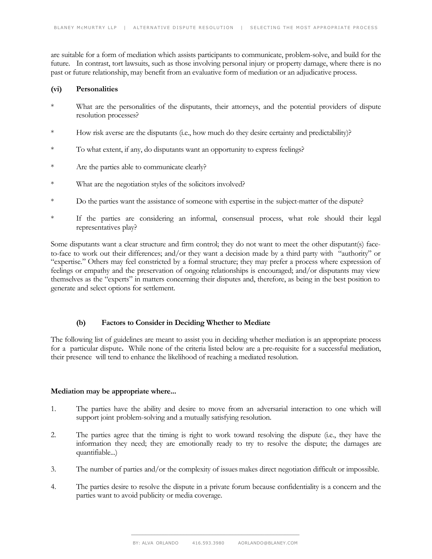are suitable for a form of mediation which assists participants to communicate, problem-solve, and build for the future. In contrast, tort lawsuits, such as those involving personal injury or property damage, where there is no past or future relationship, may benefit from an evaluative form of mediation or an adjudicative process.

#### **(vi) Personalities**

- \* What are the personalities of the disputants, their attorneys, and the potential providers of dispute resolution processes?
- \* How risk averse are the disputants (i.e., how much do they desire certainty and predictability)?
- \* To what extent, if any, do disputants want an opportunity to express feelings?
- \* Are the parties able to communicate clearly?
- \* What are the negotiation styles of the solicitors involved?
- \* Do the parties want the assistance of someone with expertise in the subject-matter of the dispute?
- \* If the parties are considering an informal, consensual process, what role should their legal representatives play?

Some disputants want a clear structure and firm control; they do not want to meet the other disputant(s) faceto-face to work out their differences; and/or they want a decision made by a third party with "authority" or "expertise." Others may feel constricted by a formal structure; they may prefer a process where expression of feelings or empathy and the preservation of ongoing relationships is encouraged; and/or disputants may view themselves as the "experts" in matters concerning their disputes and, therefore, as being in the best position to generate and select options for settlement.

# **(b) Factors to Consider in Deciding Whether to Mediate**

The following list of guidelines are meant to assist you in deciding whether mediation is an appropriate process for a particular dispute**.** While none of the criteria listed below are a pre-requisite for a successful mediation, their presence will tend to enhance the likelihood of reaching a mediated resolution.

## **Mediation may be appropriate where...**

- 1. The parties have the ability and desire to move from an adversarial interaction to one which will support joint problem-solving and a mutually satisfying resolution.
- 2. The parties agree that the timing is right to work toward resolving the dispute (i.e., they have the information they need; they are emotionally ready to try to resolve the dispute; the damages are quantifiable...)
- 3. The number of parties and/or the complexity of issues makes direct negotiation difficult or impossible.
- 4. The parties desire to resolve the dispute in a private forum because confidentiality is a concern and the parties want to avoid publicity or media coverage.